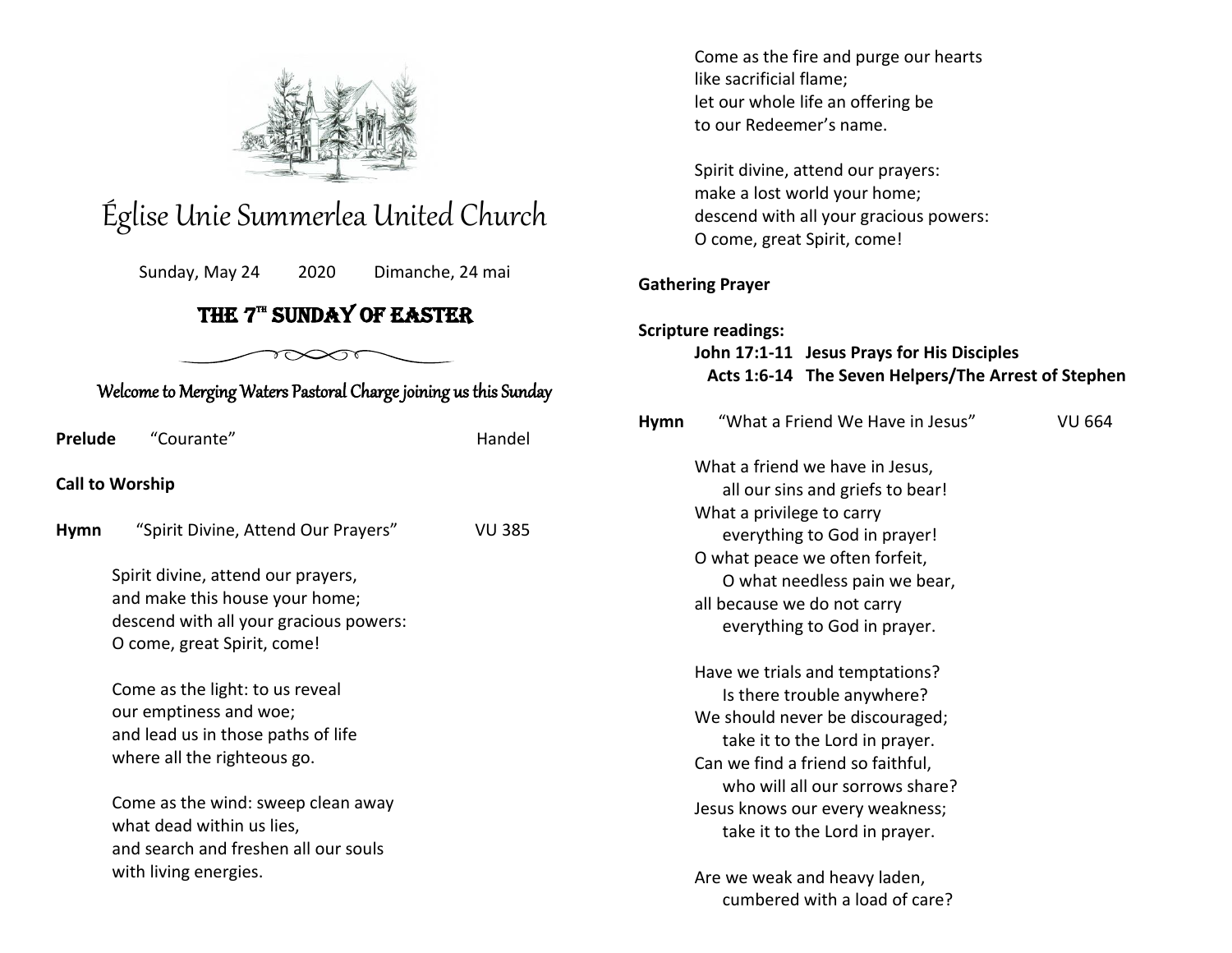

# Église Unie Summerlea United Church

Sunday, May 24 2020 Dimanche, 24 mai

# THE  $7^{\mathrm{m}}$  SUNDAY OF EASTER

♡◇◇

| Welcome to Merging Waters Pastoral Charge joining us this Sunday |                                                                                                                                                                                                                                                                                                                                                                                                                     |               |             |  |  |
|------------------------------------------------------------------|---------------------------------------------------------------------------------------------------------------------------------------------------------------------------------------------------------------------------------------------------------------------------------------------------------------------------------------------------------------------------------------------------------------------|---------------|-------------|--|--|
| Prelude                                                          | "Courante"                                                                                                                                                                                                                                                                                                                                                                                                          | Handel        | <b>Hymn</b> |  |  |
| <b>Call to Worship</b>                                           |                                                                                                                                                                                                                                                                                                                                                                                                                     |               |             |  |  |
| <b>Hymn</b>                                                      | "Spirit Divine, Attend Our Prayers"                                                                                                                                                                                                                                                                                                                                                                                 | <b>VU 385</b> |             |  |  |
|                                                                  | Spirit divine, attend our prayers,<br>and make this house your home;<br>descend with all your gracious powers:<br>O come, great Spirit, come!<br>Come as the light: to us reveal<br>our emptiness and woe;<br>and lead us in those paths of life<br>where all the righteous go.<br>Come as the wind: sweep clean away<br>what dead within us lies,<br>and search and freshen all our souls<br>with living energies. |               |             |  |  |

Come as the fire and purge our hearts like sacrificial flame; let our whole life an offering be to our Redeemer's name.

Spirit divine, attend our prayers: make a lost world your home; descend with all your gracious powers: O come, great Spirit, come!

### **Gathering Prayer**

## **Scripture readings: John 17:1-11 Jesus Prays for His Disciples Acts 1:6-14 The Seven Helpers/The Arrest of Stephen**

| <b>Hymn</b> | "What a Friend We Have in Jesus"  | VU 664 |
|-------------|-----------------------------------|--------|
|             | What a friend we have in Jesus,   |        |
|             | all our sins and griefs to bear!  |        |
|             | What a privilege to carry         |        |
|             | everything to God in prayer!      |        |
|             | O what peace we often forfeit,    |        |
|             | O what needless pain we bear,     |        |
|             | all because we do not carry       |        |
|             | everything to God in prayer.      |        |
|             | Have we trials and temptations?   |        |
|             | Is there trouble anywhere?        |        |
|             | We should never be discouraged;   |        |
|             | take it to the Lord in prayer.    |        |
|             | Can we find a friend so faithful, |        |
|             | who will all our sorrows share?   |        |
|             | Jesus knows our every weakness;   |        |
|             | take it to the Lord in prayer.    |        |
|             | Are we weak and heavy laden,      |        |

cumbered with a load of care?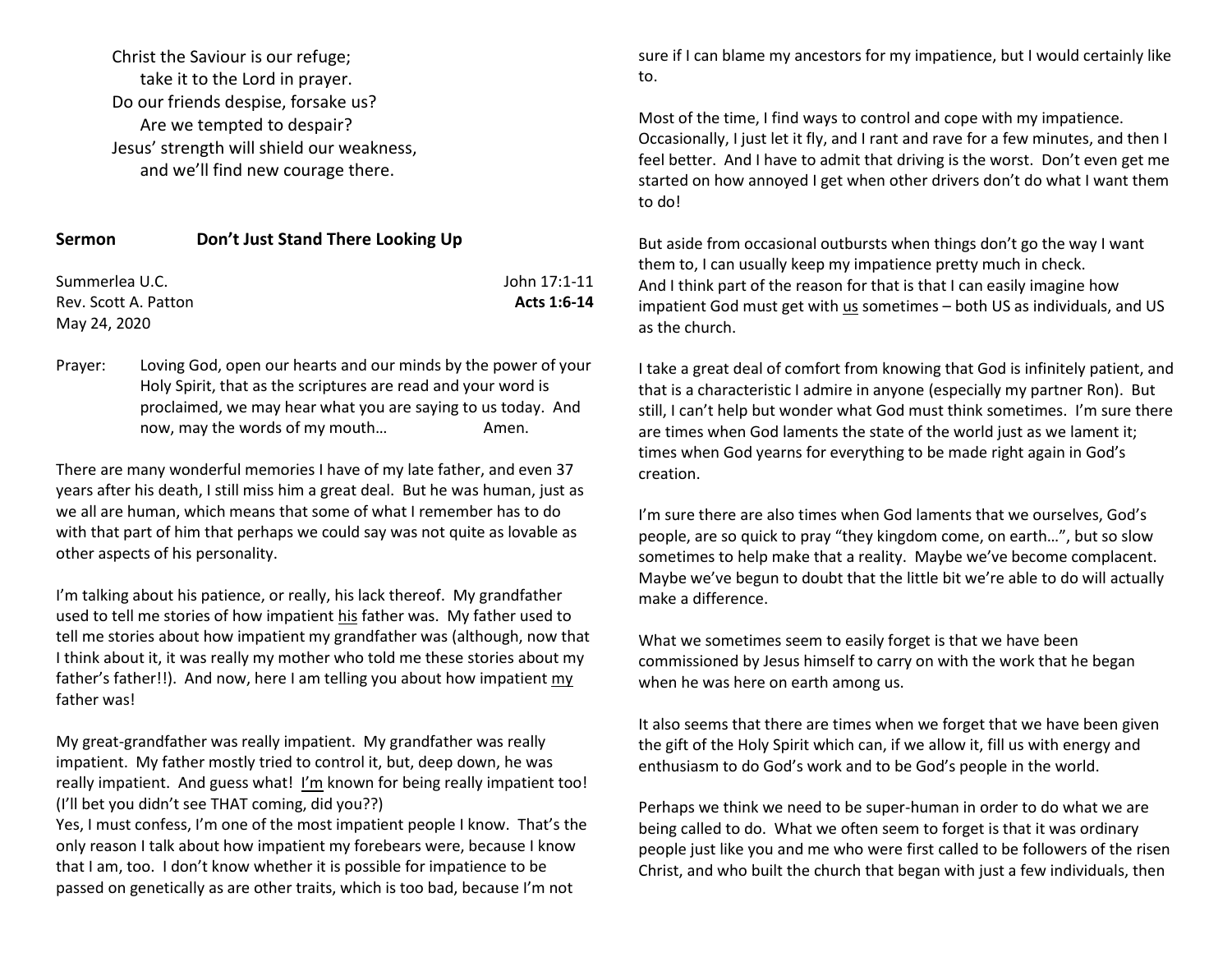Christ the Saviour is our refuge; take it to the Lord in prayer. Do our friends despise, forsake us? Are we tempted to despair? Jesus' strength will shield our weakness, and we'll find new courage there.

| <b>Sermon</b>        | Don't Just Stand There Looking Up |              |
|----------------------|-----------------------------------|--------------|
| Summerlea U.C.       |                                   | John 17:1-11 |
| Rev. Scott A. Patton |                                   | Acts 1:6-14  |

May 24, 2020

Prayer: Loving God, open our hearts and our minds by the power of your Holy Spirit, that as the scriptures are read and your word is proclaimed, we may hear what you are saying to us today. And now, may the words of my mouth... Amen.

There are many wonderful memories I have of my late father, and even 37 years after his death, I still miss him a great deal. But he was human, just as we all are human, which means that some of what I remember has to do with that part of him that perhaps we could say was not quite as lovable as other aspects of his personality.

I'm talking about his patience, or really, his lack thereof. My grandfather used to tell me stories of how impatient his father was. My father used to tell me stories about how impatient my grandfather was (although, now that I think about it, it was really my mother who told me these stories about my father's father!!). And now, here I am telling you about how impatient my father was!

My great-grandfather was really impatient. My grandfather was really impatient. My father mostly tried to control it, but, deep down, he was really impatient. And guess what! I'm known for being really impatient too! (I'll bet you didn't see THAT coming, did you??)

Yes, I must confess, I'm one of the most impatient people I know. That's the only reason I talk about how impatient my forebears were, because I know that I am, too. I don't know whether it is possible for impatience to be passed on genetically as are other traits, which is too bad, because I'm not

sure if I can blame my ancestors for my impatience, but I would certainly like to.

Most of the time, I find ways to control and cope with my impatience. Occasionally, I just let it fly, and I rant and rave for a few minutes, and then I feel better. And I have to admit that driving is the worst. Don't even get me started on how annoyed I get when other drivers don't do what I want them to do!

But aside from occasional outbursts when things don't go the way I want them to, I can usually keep my impatience pretty much in check. And I think part of the reason for that is that I can easily imagine how impatient God must get with us sometimes – both US as individuals, and US as the church.

I take a great deal of comfort from knowing that God is infinitely patient, and that is a characteristic I admire in anyone (especially my partner Ron). But still, I can't help but wonder what God must think sometimes. I'm sure there are times when God laments the state of the world just as we lament it; times when God yearns for everything to be made right again in God's creation.

I'm sure there are also times when God laments that we ourselves, God's people, are so quick to pray "they kingdom come, on earth…", but so slow sometimes to help make that a reality. Maybe we've become complacent. Maybe we've begun to doubt that the little bit we're able to do will actually make a difference.

What we sometimes seem to easily forget is that we have been commissioned by Jesus himself to carry on with the work that he began when he was here on earth among us.

It also seems that there are times when we forget that we have been given the gift of the Holy Spirit which can, if we allow it, fill us with energy and enthusiasm to do God's work and to be God's people in the world.

Perhaps we think we need to be super-human in order to do what we are being called to do. What we often seem to forget is that it was ordinary people just like you and me who were first called to be followers of the risen Christ, and who built the church that began with just a few individuals, then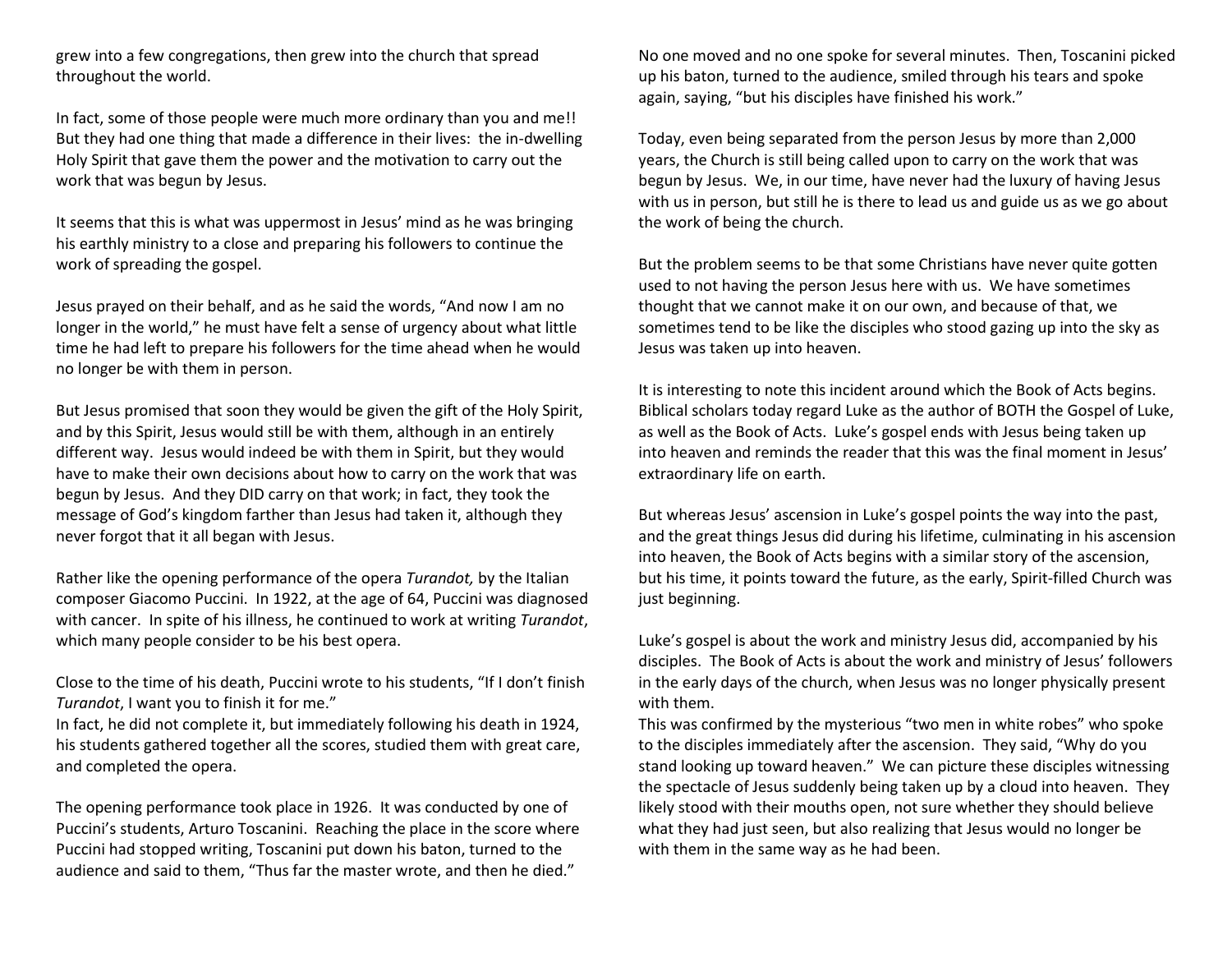grew into a few congregations, then grew into the church that spread throughout the world.

In fact, some of those people were much more ordinary than you and me!! But they had one thing that made a difference in their lives: the in-dwelling Holy Spirit that gave them the power and the motivation to carry out the work that was begun by Jesus.

It seems that this is what was uppermost in Jesus' mind as he was bringing his earthly ministry to a close and preparing his followers to continue the work of spreading the gospel.

Jesus prayed on their behalf, and as he said the words, "And now I am no longer in the world," he must have felt a sense of urgency about what little time he had left to prepare his followers for the time ahead when he would no longer be with them in person.

But Jesus promised that soon they would be given the gift of the Holy Spirit, and by this Spirit, Jesus would still be with them, although in an entirely different way. Jesus would indeed be with them in Spirit, but they would have to make their own decisions about how to carry on the work that was begun by Jesus. And they DID carry on that work; in fact, they took the message of God's kingdom farther than Jesus had taken it, although they never forgot that it all began with Jesus.

Rather like the opening performance of the opera *Turandot,* by the Italian composer Giacomo Puccini. In 1922, at the age of 64, Puccini was diagnosed with cancer. In spite of his illness, he continued to work at writing *Turandot*, which many people consider to be his best opera.

Close to the time of his death, Puccini wrote to his students, "If I don't finish *Turandot*, I want you to finish it for me."

In fact, he did not complete it, but immediately following his death in 1924, his students gathered together all the scores, studied them with great care, and completed the opera.

The opening performance took place in 1926. It was conducted by one of Puccini's students, Arturo Toscanini. Reaching the place in the score where Puccini had stopped writing, Toscanini put down his baton, turned to the audience and said to them, "Thus far the master wrote, and then he died."

No one moved and no one spoke for several minutes. Then, Toscanini picked up his baton, turned to the audience, smiled through his tears and spoke again, saying, "but his disciples have finished his work."

Today, even being separated from the person Jesus by more than 2,000 years, the Church is still being called upon to carry on the work that was begun by Jesus. We, in our time, have never had the luxury of having Jesus with us in person, but still he is there to lead us and guide us as we go about the work of being the church.

But the problem seems to be that some Christians have never quite gotten used to not having the person Jesus here with us. We have sometimes thought that we cannot make it on our own, and because of that, we sometimes tend to be like the disciples who stood gazing up into the sky as Jesus was taken up into heaven.

It is interesting to note this incident around which the Book of Acts begins. Biblical scholars today regard Luke as the author of BOTH the Gospel of Luke, as well as the Book of Acts. Luke's gospel ends with Jesus being taken up into heaven and reminds the reader that this was the final moment in Jesus' extraordinary life on earth.

But whereas Jesus' ascension in Luke's gospel points the way into the past, and the great things Jesus did during his lifetime, culminating in his ascension into heaven, the Book of Acts begins with a similar story of the ascension, but his time, it points toward the future, as the early, Spirit-filled Church was just beginning.

Luke's gospel is about the work and ministry Jesus did, accompanied by his disciples. The Book of Acts is about the work and ministry of Jesus' followers in the early days of the church, when Jesus was no longer physically present with them.

This was confirmed by the mysterious "two men in white robes" who spoke to the disciples immediately after the ascension. They said, "Why do you stand looking up toward heaven." We can picture these disciples witnessing the spectacle of Jesus suddenly being taken up by a cloud into heaven. They likely stood with their mouths open, not sure whether they should believe what they had just seen, but also realizing that Jesus would no longer be with them in the same way as he had been.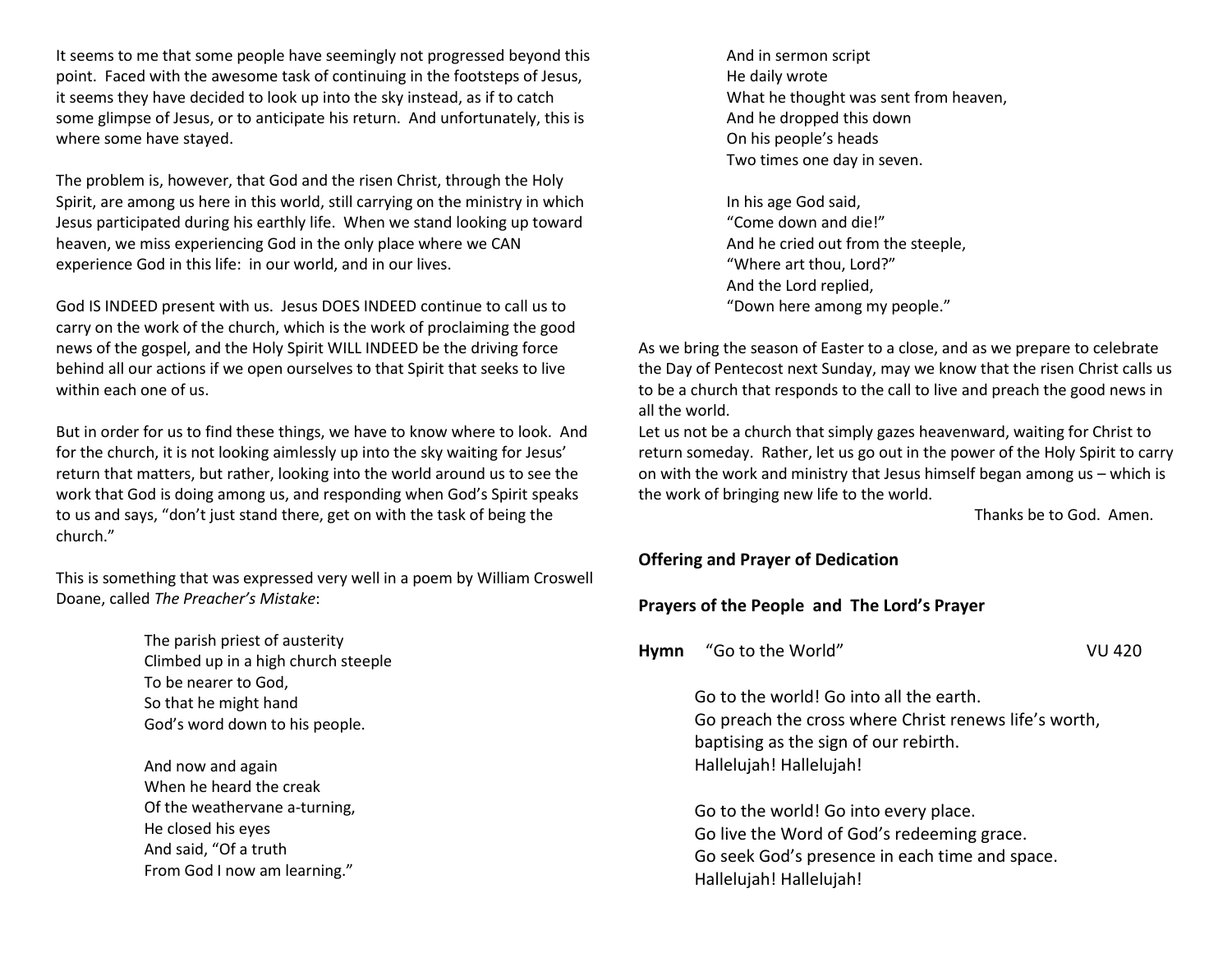It seems to me that some people have seemingly not progressed beyond this point. Faced with the awesome task of continuing in the footsteps of Jesus, it seems they have decided to look up into the sky instead, as if to catch some glimpse of Jesus, or to anticipate his return. And unfortunately, this is where some have stayed.

The problem is, however, that God and the risen Christ, through the Holy Spirit, are among us here in this world, still carrying on the ministry in which Jesus participated during his earthly life. When we stand looking up toward heaven, we miss experiencing God in the only place where we CAN experience God in this life: in our world, and in our lives.

God IS INDEED present with us. Jesus DOES INDEED continue to call us to carry on the work of the church, which is the work of proclaiming the good news of the gospel, and the Holy Spirit WILL INDEED be the driving force behind all our actions if we open ourselves to that Spirit that seeks to live within each one of us.

But in order for us to find these things, we have to know where to look. And for the church, it is not looking aimlessly up into the sky waiting for Jesus' return that matters, but rather, looking into the world around us to see the work that God is doing among us, and responding when God's Spirit speaks to us and says, "don't just stand there, get on with the task of being the church."

This is something that was expressed very well in a poem by William Croswell Doane, called *The Preacher's Mistake*:

> The parish priest of austerity Climbed up in a high church steeple To be nearer to God, So that he might hand God's word down to his people.

And now and again When he heard the creak Of the weathervane a-turning, He closed his eyes And said, "Of a truth From God I now am learning."

And in sermon script He daily wrote What he thought was sent from heaven, And he dropped this down On his people's heads Two times one day in seven.

In his age God said, "Come down and die!" And he cried out from the steeple, "Where art thou, Lord?" And the Lord replied, "Down here among my people."

As we bring the season of Easter to a close, and as we prepare to celebrate the Day of Pentecost next Sunday, may we know that the risen Christ calls us to be a church that responds to the call to live and preach the good news in all the world.

Let us not be a church that simply gazes heavenward, waiting for Christ to return someday. Rather, let us go out in the power of the Holy Spirit to carry on with the work and ministry that Jesus himself began among us – which is the work of bringing new life to the world.

Thanks be to God. Amen.

#### **Offering and Prayer of Dedication**

#### **Prayers of the People and The Lord's Prayer**

|  | Hymn | "Go to the World" | <b>VU 420</b> |
|--|------|-------------------|---------------|
|--|------|-------------------|---------------|

Go to the world! Go into all the earth. Go preach the cross where Christ renews life's worth, baptising as the sign of our rebirth. Hallelujah! Hallelujah!

Go to the world! Go into every place. Go live the Word of God's redeeming grace. Go seek God's presence in each time and space. Hallelujah! Hallelujah!